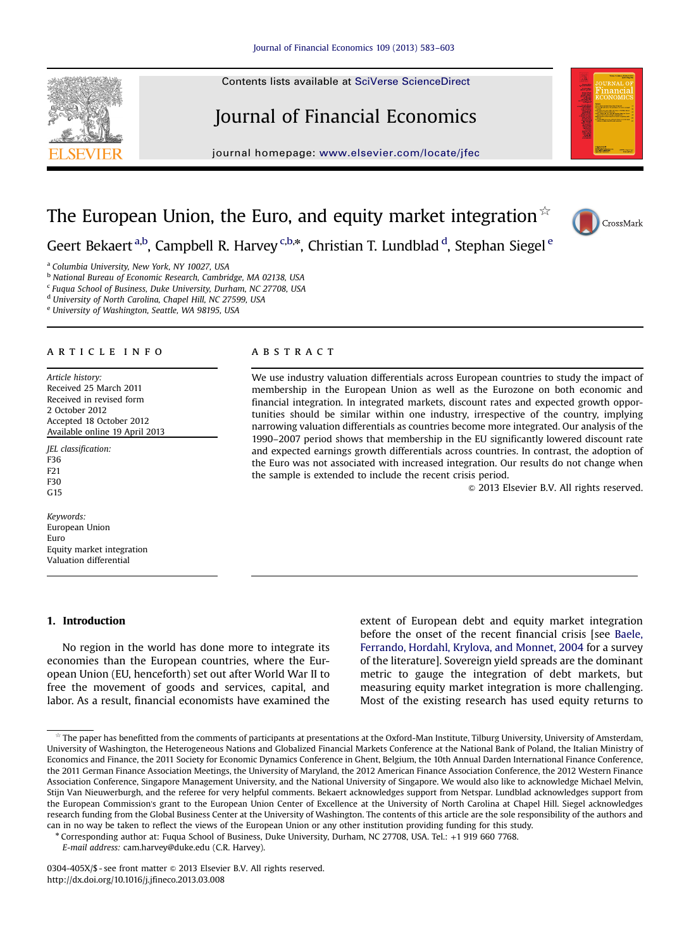# Journal of Financial Economics

journal homepage: <www.elsevier.com/locate/jfec>



# The European Union, the Euro, and equity market integration  $\mathbb{R}$



Geert Bekaert <sup>a,b</sup>, Campbell R. Harvey <sup>c,b,\*</sup>, Christian T. Lundblad <sup>d</sup>, Stephan Siegel <sup>e</sup>

a Columbia University, New York, NY 10027, USA

<sup>b</sup> National Bureau of Economic Research, Cambridge, MA 02138, USA

<sup>c</sup> Fuqua School of Business, Duke University, Durham, NC 27708, USA

<sup>d</sup> University of North Carolina, Chapel Hill, NC 27599, USA

<sup>e</sup> University of Washington, Seattle, WA 98195, USA

## article info

Article history: Received 25 March 2011 Received in revised form 2 October 2012 Accepted 18 October 2012 Available online 19 April 2013

JEL classification: F36 F21 F30 G15

Keywords: European Union Euro Equity market integration Valuation differential

### 1. Introduction

No region in the world has done more to integrate its economies than the European countries, where the European Union (EU, henceforth) set out after World War II to free the movement of goods and services, capital, and labor. As a result, financial economists have examined the

## **ABSTRACT**

We use industry valuation differentials across European countries to study the impact of membership in the European Union as well as the Eurozone on both economic and financial integration. In integrated markets, discount rates and expected growth opportunities should be similar within one industry, irrespective of the country, implying narrowing valuation differentials as countries become more integrated. Our analysis of the 1990–2007 period shows that membership in the EU significantly lowered discount rate and expected earnings growth differentials across countries. In contrast, the adoption of the Euro was not associated with increased integration. Our results do not change when the sample is extended to include the recent crisis period.

 $\odot$  2013 Elsevier B.V. All rights reserved.

extent of European debt and equity market integration before the onset of the recent financial crisis [see [Baele,](#page--1-0) [Ferrando, Hordahl, Krylova, and Monnet, 2004](#page--1-0) for a survey of the literature]. Sovereign yield spreads are the dominant metric to gauge the integration of debt markets, but measuring equity market integration is more challenging. Most of the existing research has used equity returns to

<sup>n</sup> Corresponding author at: Fuqua School of Business, Duke University, Durham, NC 27708, USA. Tel.: +1 919 660 7768.

E-mail address: [cam.harvey@duke.edu \(C.R. Harvey\).](mailto:cam.harvey@duke.edu)

The paper has benefitted from the comments of participants at presentations at the Oxford-Man Institute, Tilburg University, University of Amsterdam, University of Washington, the Heterogeneous Nations and Globalized Financial Markets Conference at the National Bank of Poland, the Italian Ministry of Economics and Finance, the 2011 Society for Economic Dynamics Conference in Ghent, Belgium, the 10th Annual Darden International Finance Conference, the 2011 German Finance Association Meetings, the University of Maryland, the 2012 American Finance Association Conference, the 2012 Western Finance Association Conference, Singapore Management University, and the National University of Singapore. We would also like to acknowledge Michael Melvin, Stijn Van Nieuwerburgh, and the referee for very helpful comments. Bekaert acknowledges support from Netspar. Lundblad acknowledges support from the European Commission's grant to the European Union Center of Excellence at the University of North Carolina at Chapel Hill. Siegel acknowledges research funding from the Global Business Center at the University of Washington. The contents of this article are the sole responsibility of the authors and can in no way be taken to reflect the views of the European Union or any other institution providing funding for this study.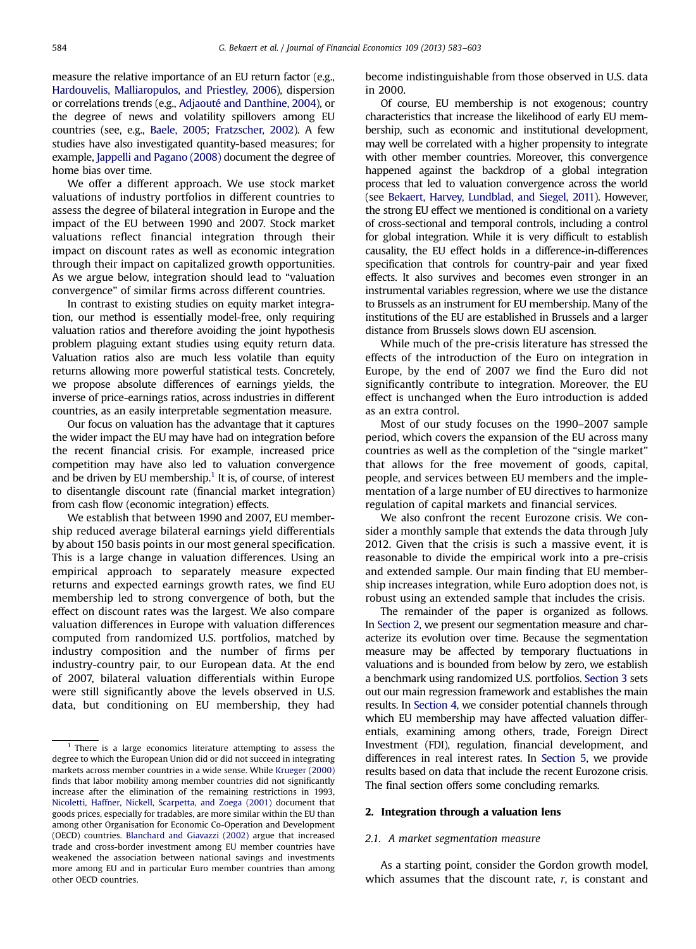measure the relative importance of an EU return factor (e.g., [Hardouvelis, Malliaropulos, and Priestley, 2006](#page--1-0)), dispersion or correlations trends (e.g., [Adjaouté and Danthine, 2004](#page--1-0)), or the degree of news and volatility spillovers among EU countries (see, e.g., [Baele, 2005;](#page--1-0) [Fratzscher, 2002\)](#page--1-0). A few studies have also investigated quantity-based measures; for example, [Jappelli and Pagano \(2008\)](#page--1-0) document the degree of home bias over time.

We offer a different approach. We use stock market valuations of industry portfolios in different countries to assess the degree of bilateral integration in Europe and the impact of the EU between 1990 and 2007. Stock market valuations reflect financial integration through their impact on discount rates as well as economic integration through their impact on capitalized growth opportunities. As we argue below, integration should lead to "valuation convergence" of similar firms across different countries.

In contrast to existing studies on equity market integration, our method is essentially model-free, only requiring valuation ratios and therefore avoiding the joint hypothesis problem plaguing extant studies using equity return data. Valuation ratios also are much less volatile than equity returns allowing more powerful statistical tests. Concretely, we propose absolute differences of earnings yields, the inverse of price-earnings ratios, across industries in different countries, as an easily interpretable segmentation measure.

Our focus on valuation has the advantage that it captures the wider impact the EU may have had on integration before the recent financial crisis. For example, increased price competition may have also led to valuation convergence and be driven by EU membership.<sup>1</sup> It is, of course, of interest to disentangle discount rate (financial market integration) from cash flow (economic integration) effects.

We establish that between 1990 and 2007, EU membership reduced average bilateral earnings yield differentials by about 150 basis points in our most general specification. This is a large change in valuation differences. Using an empirical approach to separately measure expected returns and expected earnings growth rates, we find EU membership led to strong convergence of both, but the effect on discount rates was the largest. We also compare valuation differences in Europe with valuation differences computed from randomized U.S. portfolios, matched by industry composition and the number of firms per industry-country pair, to our European data. At the end of 2007, bilateral valuation differentials within Europe were still significantly above the levels observed in U.S. data, but conditioning on EU membership, they had

become indistinguishable from those observed in U.S. data in 2000.

Of course, EU membership is not exogenous; country characteristics that increase the likelihood of early EU membership, such as economic and institutional development, may well be correlated with a higher propensity to integrate with other member countries. Moreover, this convergence happened against the backdrop of a global integration process that led to valuation convergence across the world (see [Bekaert, Harvey, Lundblad, and Siegel, 2011](#page--1-0)). However, the strong EU effect we mentioned is conditional on a variety of cross-sectional and temporal controls, including a control for global integration. While it is very difficult to establish causality, the EU effect holds in a difference-in-differences specification that controls for country-pair and year fixed effects. It also survives and becomes even stronger in an instrumental variables regression, where we use the distance to Brussels as an instrument for EU membership. Many of the institutions of the EU are established in Brussels and a larger distance from Brussels slows down EU ascension.

While much of the pre-crisis literature has stressed the effects of the introduction of the Euro on integration in Europe, by the end of 2007 we find the Euro did not significantly contribute to integration. Moreover, the EU effect is unchanged when the Euro introduction is added as an extra control.

Most of our study focuses on the 1990–2007 sample period, which covers the expansion of the EU across many countries as well as the completion of the "single market" that allows for the free movement of goods, capital, people, and services between EU members and the implementation of a large number of EU directives to harmonize regulation of capital markets and financial services.

We also confront the recent Eurozone crisis. We consider a monthly sample that extends the data through July 2012. Given that the crisis is such a massive event, it is reasonable to divide the empirical work into a pre-crisis and extended sample. Our main finding that EU membership increases integration, while Euro adoption does not, is robust using an extended sample that includes the crisis.

The remainder of the paper is organized as follows. In Section 2, we present our segmentation measure and characterize its evolution over time. Because the segmentation measure may be affected by temporary fluctuations in valuations and is bounded from below by zero, we establish a benchmark using randomized U.S. portfolios. [Section 3](#page--1-0) sets out our main regression framework and establishes the main results. In [Section 4](#page--1-0), we consider potential channels through which EU membership may have affected valuation differentials, examining among others, trade, Foreign Direct Investment (FDI), regulation, financial development, and differences in real interest rates. In [Section 5,](#page--1-0) we provide results based on data that include the recent Eurozone crisis. The final section offers some concluding remarks.

#### 2. Integration through a valuation lens

### 2.1. A market segmentation measure

As a starting point, consider the Gordon growth model, which assumes that the discount rate,  $r$ , is constant and

<sup>&</sup>lt;sup>1</sup> There is a large economics literature attempting to assess the degree to which the European Union did or did not succeed in integrating markets across member countries in a wide sense. While [Krueger \(2000\)](#page--1-0) finds that labor mobility among member countries did not significantly increase after the elimination of the remaining restrictions in 1993, [Nicoletti, Haffner, Nickell, Scarpetta, and Zoega \(2001\)](#page--1-0) document that goods prices, especially for tradables, are more similar within the EU than among other Organisation for Economic Co-Operation and Development (OECD) countries. [Blanchard and Giavazzi \(2002\)](#page--1-0) argue that increased trade and cross-border investment among EU member countries have weakened the association between national savings and investments more among EU and in particular Euro member countries than among other OECD countries.